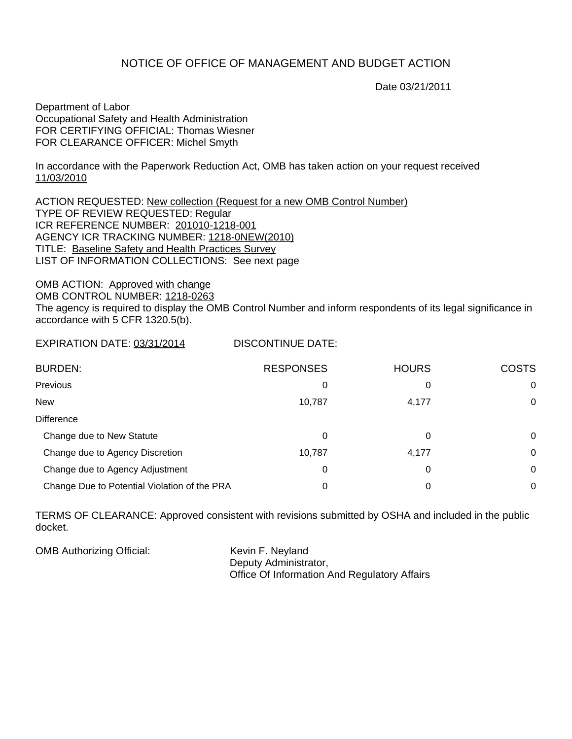## NOTICE OF OFFICE OF MANAGEMENT AND BUDGET ACTION

Date 03/21/2011

Department of Labor Occupational Safety and Health Administration FOR CERTIFYING OFFICIAL: Thomas Wiesner FOR CLEARANCE OFFICER: Michel Smyth

In accordance with the Paperwork Reduction Act, OMB has taken action on your request received 11/03/2010

ACTION REQUESTED: New collection (Request for a new OMB Control Number) TYPE OF REVIEW REQUESTED: Regular ICR REFERENCE NUMBER: 201010-1218-001 AGENCY ICR TRACKING NUMBER: 1218-0NEW(2010) TITLE: Baseline Safety and Health Practices Survey LIST OF INFORMATION COLLECTIONS: See next page

OMB ACTION: Approved with change OMB CONTROL NUMBER: 1218-0263 The agency is required to display the OMB Control Number and inform respondents of its legal significance in accordance with 5 CFR 1320.5(b).

EXPIRATION DATE: 03/31/2014 DISCONTINUE DATE:

| <b>BURDEN:</b>                               | <b>RESPONSES</b> | <b>HOURS</b> | <b>COSTS</b> |
|----------------------------------------------|------------------|--------------|--------------|
| Previous                                     | 0                | 0            | 0            |
| <b>New</b>                                   | 10,787           | 4,177        | 0            |
| <b>Difference</b>                            |                  |              |              |
| Change due to New Statute                    | 0                | 0            | 0            |
| Change due to Agency Discretion              | 10,787           | 4,177        | 0            |
| Change due to Agency Adjustment              | 0                | 0            | 0            |
| Change Due to Potential Violation of the PRA | 0                | 0            | 0            |

TERMS OF CLEARANCE: Approved consistent with revisions submitted by OSHA and included in the public docket.

OMB Authorizing Official: Kevin F. Neyland Deputy Administrator, Office Of Information And Regulatory Affairs